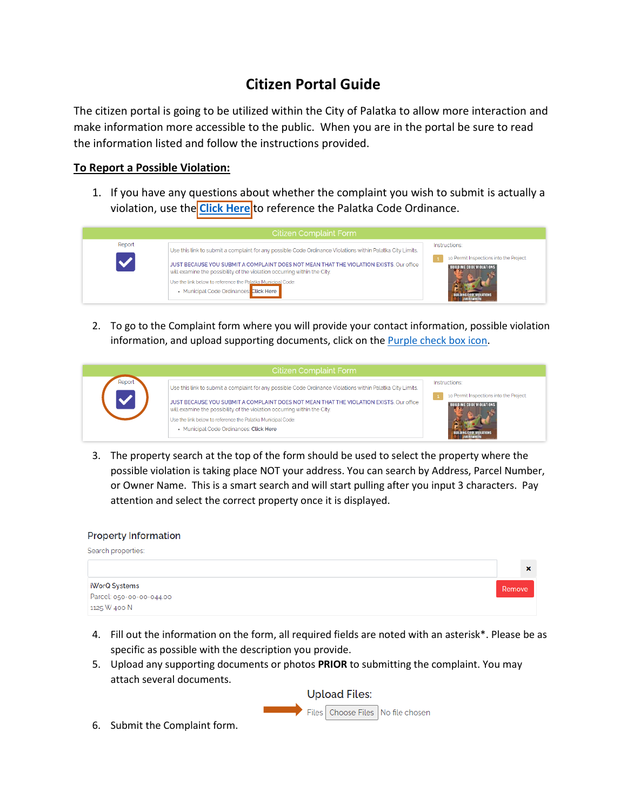## **Citizen Portal Guide**

The citizen portal is going to be utilized within the City of Palatka to allow more interaction and make information more accessible to the public. When you are in the portal be sure to read the information listed and follow the instructions provided.

## **To Report a Possible Violation:**

1. If you have any questions about whether the complaint you wish to submit is actually a violation, use the **[Click Here](https://library.municode.com/fl/palatka/codes/code_of_ordinances)** to reference the Palatka Code Ordinance.



2. To go to the Complaint form where you will provide your contact information, possible violation information, and upload supporting documents, click on th[e Purple check box icon.](https://palatka.portal.iworq.net/PALATKA/new-case/400/1780)



3. The property search at the top of the form should be used to select the property where the possible violation is taking place NOT your address. You can search by Address, Parcel Number, or Owner Name. This is a smart search and will start pulling after you input 3 characters. Pay attention and select the correct property once it is displayed.

## **Property Information**

| Search properties:       |                           |
|--------------------------|---------------------------|
|                          | $\boldsymbol{\mathsf{x}}$ |
| iWorQ Systems            | Remove                    |
| Parcel: 050-00-00-044.00 |                           |
| 1125 W 400 N             |                           |

- 4. Fill out the information on the form, all required fields are noted with an asterisk\*. Please be as specific as possible with the description you provide.
- 5. Upload any supporting documents or photos **PRIOR** to submitting the complaint. You may attach several documents.



6. Submit the Complaint form.